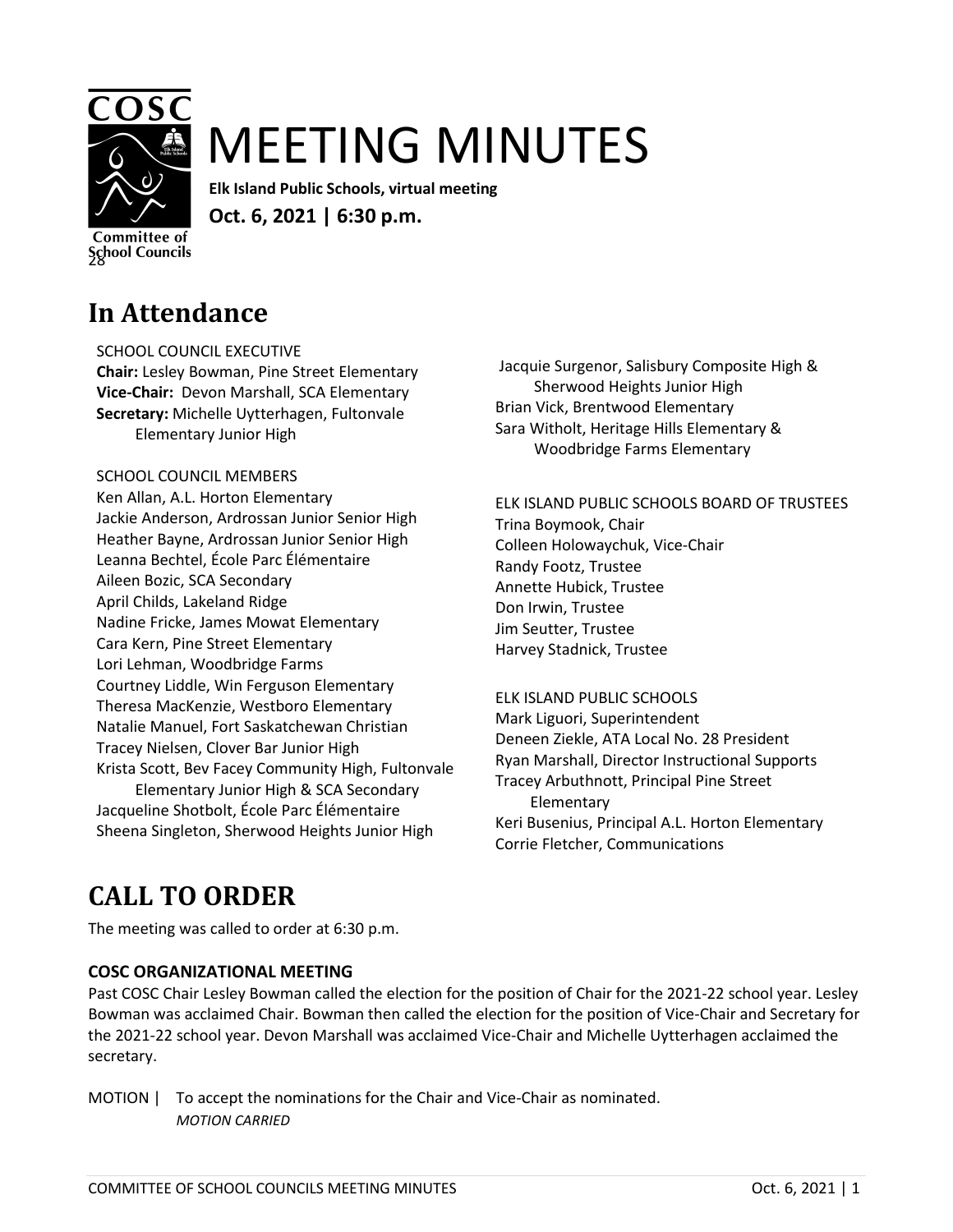

# MEETING MINUTES

**Elk Island Public Schools, virtual meeting Oct. 6, 2021 | 6:30 p.m.**

**Committee of School Councils** 

# **In Attendance**

SCHOOL COUNCIL EXECUTIVE **Chair:** Lesley Bowman, Pine Street Elementary **Vice-Chair:** Devon Marshall, SCA Elementary **Secretary:** Michelle Uytterhagen, Fultonvale Elementary Junior High

### SCHOOL COUNCIL MEMBERS

Ken Allan, A.L. Horton Elementary Jackie Anderson, Ardrossan Junior Senior High Heather Bayne, Ardrossan Junior Senior High Leanna Bechtel, École Parc Élémentaire Aileen Bozic, SCA Secondary April Childs, Lakeland Ridge Nadine Fricke, James Mowat Elementary Cara Kern, Pine Street Elementary Lori Lehman, Woodbridge Farms Courtney Liddle, Win Ferguson Elementary Theresa MacKenzie, Westboro Elementary Natalie Manuel, Fort Saskatchewan Christian Tracey Nielsen, Clover Bar Junior High Krista Scott, Bev Facey Community High, Fultonvale Elementary Junior High & SCA Secondary Jacqueline Shotbolt, École Parc Élémentaire Sheena Singleton, Sherwood Heights Junior High

Jacquie Surgenor, Salisbury Composite High & Sherwood Heights Junior High Brian Vick, Brentwood Elementary Sara Witholt, Heritage Hills Elementary & Woodbridge Farms Elementary

ELK ISLAND PUBLIC SCHOOLS BOARD OF TRUSTEES Trina Boymook, Chair Colleen Holowaychuk, Vice-Chair Randy Footz, Trustee Annette Hubick, Trustee Don Irwin, Trustee Jim Seutter, Trustee Harvey Stadnick, Trustee

ELK ISLAND PUBLIC SCHOOLS Mark Liguori, Superintendent Deneen Ziekle, ATA Local No. 28 President Ryan Marshall, Director Instructional Supports Tracey Arbuthnott, Principal Pine Street Elementary Keri Busenius, Principal A.L. Horton Elementary Corrie Fletcher, Communications

# **CALL TO ORDER**

The meeting was called to order at 6:30 p.m.

### **COSC ORGANIZATIONAL MEETING**

Past COSC Chair Lesley Bowman called the election for the position of Chair for the 2021-22 school year. Lesley Bowman was acclaimed Chair. Bowman then called the election for the position of Vice-Chair and Secretary for the 2021-22 school year. Devon Marshall was acclaimed Vice-Chair and Michelle Uytterhagen acclaimed the secretary.

MOTION | To accept the nominations for the Chair and Vice-Chair as nominated. *MOTION CARRIED*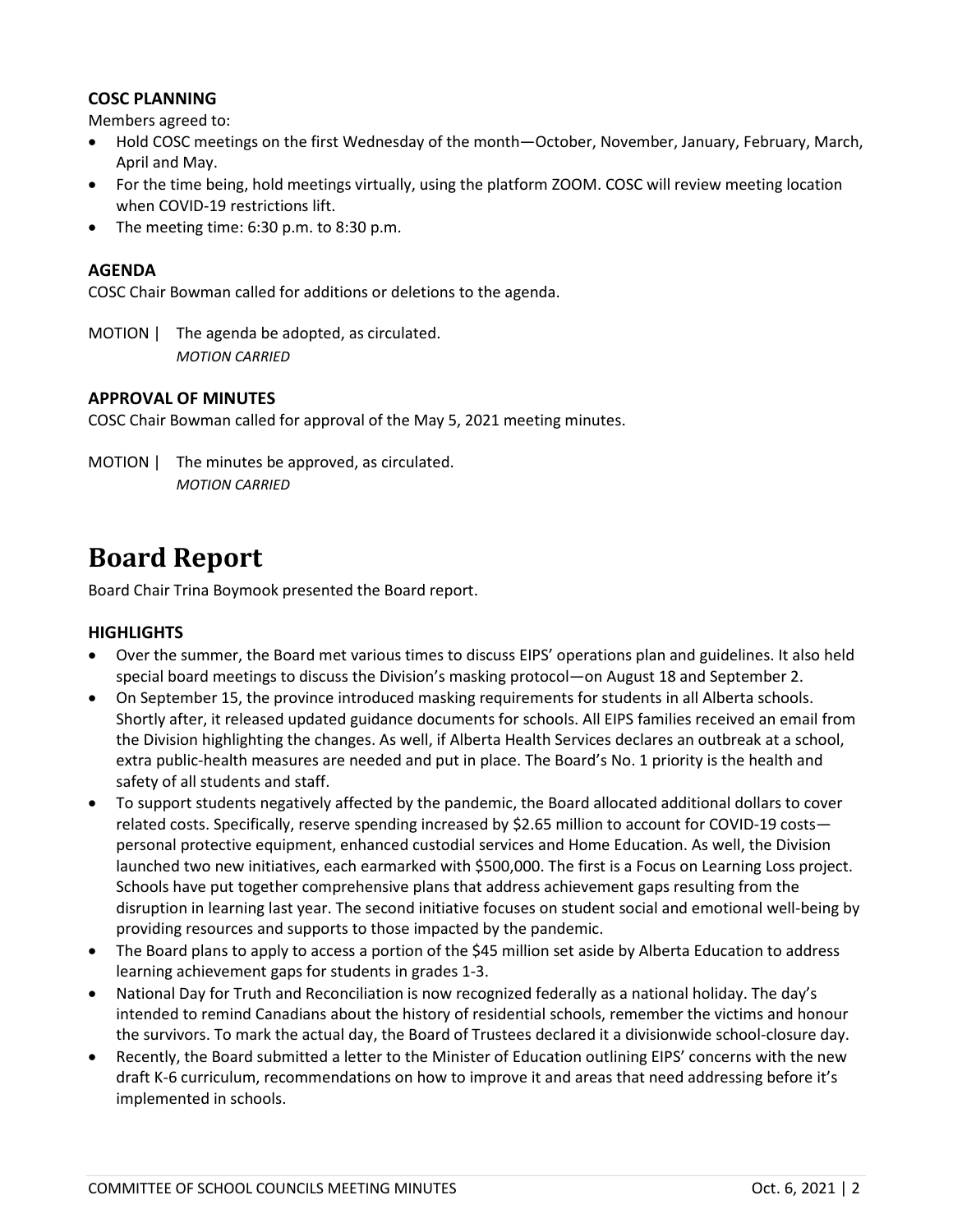### **COSC PLANNING**

Members agreed to:

- Hold COSC meetings on the first Wednesday of the month—October, November, January, February, March, April and May.
- For the time being, hold meetings virtually, using the platform ZOOM. COSC will review meeting location when COVID-19 restrictions lift.
- The meeting time: 6:30 p.m. to 8:30 p.m.

#### **AGENDA**

COSC Chair Bowman called for additions or deletions to the agenda.

MOTION | The agenda be adopted, as circulated. *MOTION CARRIED*

#### **APPROVAL OF MINUTES**

COSC Chair Bowman called for approval of the May 5, 2021 meeting minutes.

MOTION | The minutes be approved, as circulated. *MOTION CARRIED*

### **Board Report**

Board Chair Trina Boymook presented the Board report.

### **HIGHLIGHTS**

- Over the summer, the Board met various times to discuss EIPS' operations plan and guidelines. It also held special board meetings to discuss the Division's masking protocol—on August 18 and September 2.
- On September 15, the province introduced masking requirements for students in all Alberta schools. Shortly after, it released updated guidance documents for schools. All EIPS families received an email from the Division highlighting the changes. As well, if Alberta Health Services declares an outbreak at a school, extra public-health measures are needed and put in place. The Board's No. 1 priority is the health and safety of all students and staff.
- To support students negatively affected by the pandemic, the Board allocated additional dollars to cover related costs. Specifically, reserve spending increased by \$2.65 million to account for COVID-19 costs personal protective equipment, enhanced custodial services and Home Education. As well, the Division launched two new initiatives, each earmarked with \$500,000. The first is a Focus on Learning Loss project. Schools have put together comprehensive plans that address achievement gaps resulting from the disruption in learning last year. The second initiative focuses on student social and emotional well-being by providing resources and supports to those impacted by the pandemic.
- The Board plans to apply to access a portion of the \$45 million set aside by Alberta Education to address learning achievement gaps for students in grades 1-3.
- National Day for Truth and Reconciliation is now recognized federally as a national holiday. The day's intended to remind Canadians about the history of residential schools, remember the victims and honour the survivors. To mark the actual day, the Board of Trustees declared it a divisionwide school-closure day.
- Recently, the Board submitted a letter to the Minister of Education outlining EIPS' concerns with the new draft K-6 curriculum, recommendations on how to improve it and areas that need addressing before it's implemented in schools.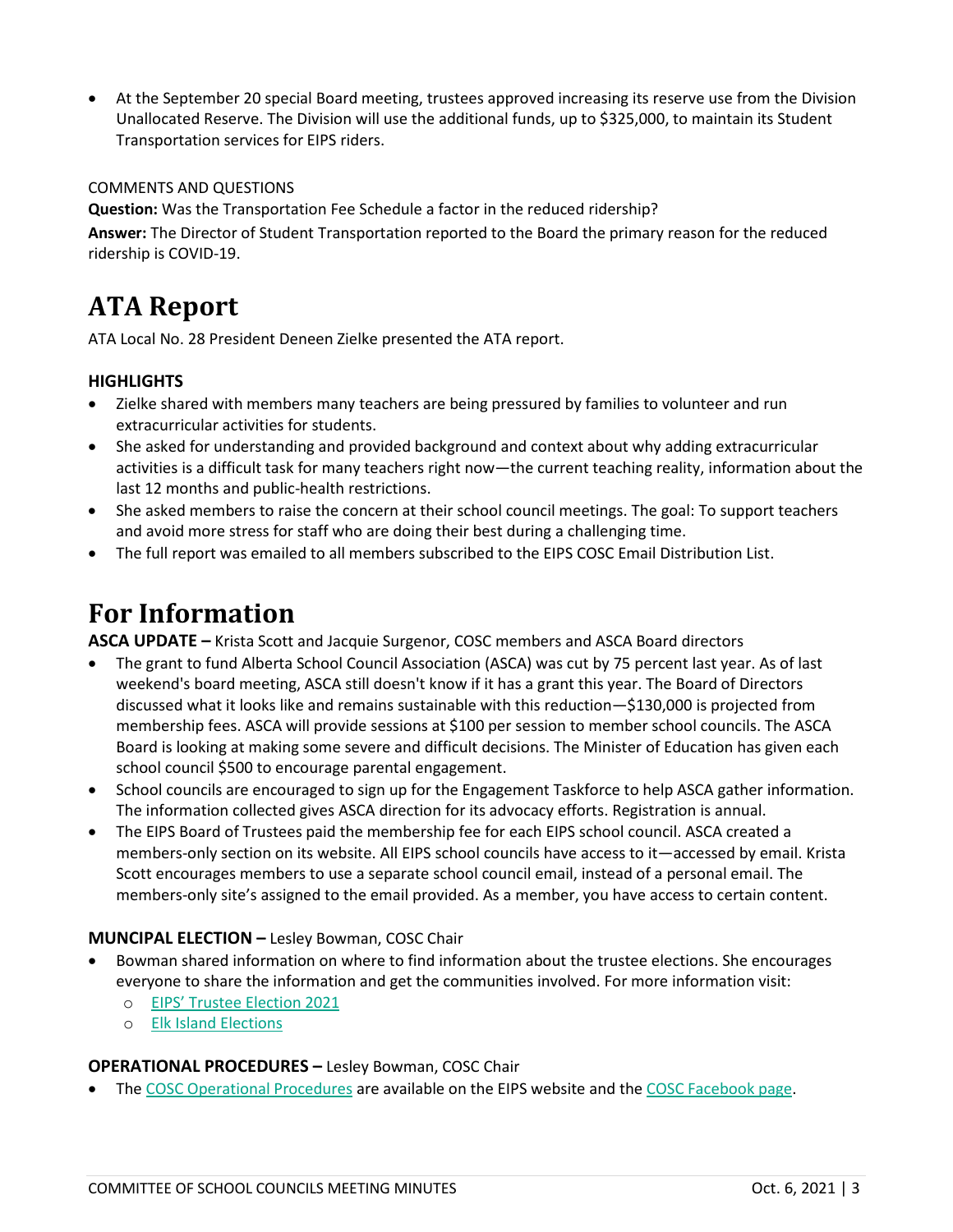• At the September 20 special Board meeting, trustees approved increasing its reserve use from the Division Unallocated Reserve. The Division will use the additional funds, up to \$325,000, to maintain its Student Transportation services for EIPS riders.

#### COMMENTS AND QUESTIONS

**Question:** Was the Transportation Fee Schedule a factor in the reduced ridership? **Answer:** The Director of Student Transportation reported to the Board the primary reason for the reduced ridership is COVID-19.

### **ATA Report**

ATA Local No. 28 President Deneen Zielke presented the ATA report.

### **HIGHLIGHTS**

- Zielke shared with members many teachers are being pressured by families to volunteer and run extracurricular activities for students.
- She asked for understanding and provided background and context about why adding extracurricular activities is a difficult task for many teachers right now—the current teaching reality, information about the last 12 months and public-health restrictions.
- She asked members to raise the concern at their school council meetings. The goal: To support teachers and avoid more stress for staff who are doing their best during a challenging time.
- The full report was emailed to all members subscribed to the EIPS COSC Email Distribution List.

### **For Information**

**ASCA UPDATE –** Krista Scott and Jacquie Surgenor, COSC members and ASCA Board directors

- The grant to fund Alberta School Council Association (ASCA) was cut by 75 percent last year. As of last weekend's board meeting, ASCA still doesn't know if it has a grant this year. The Board of Directors discussed what it looks like and remains sustainable with this reduction—\$130,000 is projected from membership fees. ASCA will provide sessions at \$100 per session to member school councils. The ASCA Board is looking at making some severe and difficult decisions. The Minister of Education has given each school council \$500 to encourage parental engagement.
- School councils are encouraged to sign up for the Engagement Taskforce to help ASCA gather information. The information collected gives ASCA direction for its advocacy efforts. Registration is annual.
- The EIPS Board of Trustees paid the membership fee for each EIPS school council. ASCA created a members-only section on its website. All EIPS school councils have access to it—accessed by email. Krista Scott encourages members to use a separate school council email, instead of a personal email. The members-only site's assigned to the email provided. As a member, you have access to certain content.

### **MUNCIPAL ELECTION –** Lesley Bowman, COSC Chair

- Bowman shared information on where to find information about the trustee elections. She encourages everyone to share the information and get the communities involved. For more information visit:
	- o [EIPS' Trustee Election 2021](https://www.eips.ca/trustees/election-2021)
	- o [Elk Island Elections](https://www.elkislandelections.ca/)

### **OPERATIONAL PROCEDURES –** Lesley Bowman, COSC Chair

• The COSC Operational Procedures are available on the EIPS website and the [COSC Facebook page.](https://www.facebook.com/groups/471089089934102/)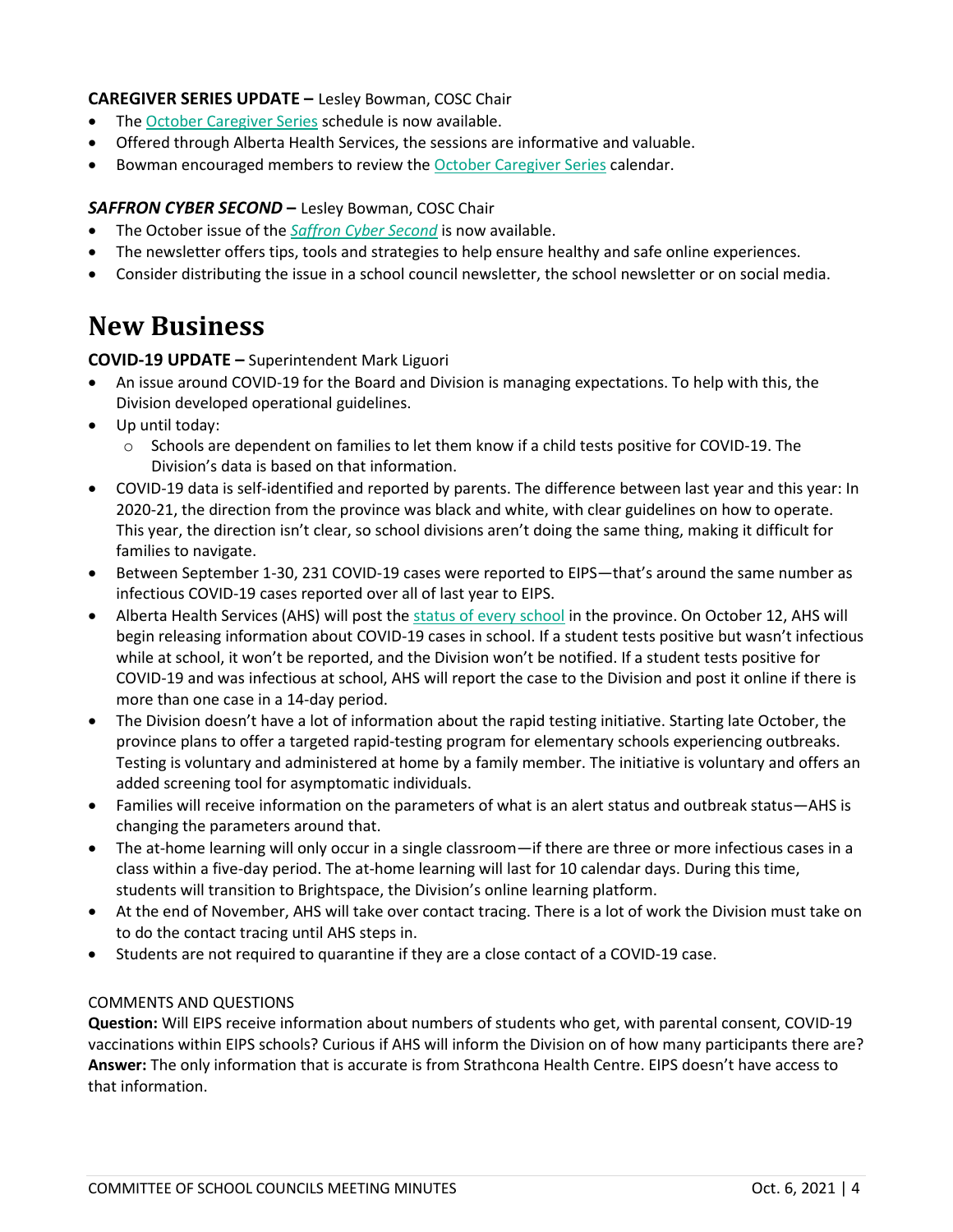### **CAREGIVER SERIES UPDATE –** Lesley Bowman, COSC Chair

- The [October Caregiver Series](https://drive.google.com/file/d/1BoE7c0P7DPemCtTu1TBTY7S6W-KMP-s4/view?usp=sharing) schedule is now available.
- Offered through Alberta Health Services, the sessions are informative and valuable.
- Bowman encouraged members to review the [October Caregiver Series](https://drive.google.com/file/d/1BoE7c0P7DPemCtTu1TBTY7S6W-KMP-s4/view?usp=sharing) calendar.

#### *SAFFRON CYBER SECOND* **–** Lesley Bowman, COSC Chair

- The October issue of the *[Saffron Cyber Second](https://www.eips.ca/download/369445)* is now available.
- The newsletter offers tips, tools and strategies to help ensure healthy and safe online experiences.
- Consider distributing the issue in a school council newsletter, the school newsletter or on social media.

### **New Business**

### **COVID-19 UPDATE –** Superintendent Mark Liguori

- An issue around COVID-19 for the Board and Division is managing expectations. To help with this, the Division developed operational guidelines.
- Up until today:
	- o Schools are dependent on families to let them know if a child tests positive for COVID-19. The Division's data is based on that information.
- COVID-19 data is self-identified and reported by parents. The difference between last year and this year: In 2020-21, the direction from the province was black and white, with clear guidelines on how to operate. This year, the direction isn't clear, so school divisions aren't doing the same thing, making it difficult for families to navigate.
- Between September 1-30, 231 COVID-19 cases were reported to EIPS—that's around the same number as infectious COVID-19 cases reported over all of last year to EIPS.
- Alberta Health Services (AHS) will post the [status of every school](https://www.alberta.ca/covid-19-school-status-map.aspx) in the province. On October 12, AHS will begin releasing information about COVID-19 cases in school. If a student tests positive but wasn't infectious while at school, it won't be reported, and the Division won't be notified. If a student tests positive for COVID-19 and was infectious at school, AHS will report the case to the Division and post it online if there is more than one case in a 14-day period.
- The Division doesn't have a lot of information about the rapid testing initiative. Starting late October, the province plans to offer a targeted rapid-testing program for elementary schools experiencing outbreaks. Testing is voluntary and administered at home by a family member. The initiative is voluntary and offers an added screening tool for asymptomatic individuals.
- Families will receive information on the parameters of what is an alert status and outbreak status—AHS is changing the parameters around that.
- The at-home learning will only occur in a single classroom—if there are three or more infectious cases in a class within a five-day period. The at-home learning will last for 10 calendar days. During this time, students will transition to Brightspace, the Division's online learning platform.
- At the end of November, AHS will take over contact tracing. There is a lot of work the Division must take on to do the contact tracing until AHS steps in.
- Students are not required to quarantine if they are a close contact of a COVID-19 case.

### COMMENTS AND QUESTIONS

**Question:** Will EIPS receive information about numbers of students who get, with parental consent, COVID-19 vaccinations within EIPS schools? Curious if AHS will inform the Division on of how many participants there are? **Answer:** The only information that is accurate is from Strathcona Health Centre. EIPS doesn't have access to that information.